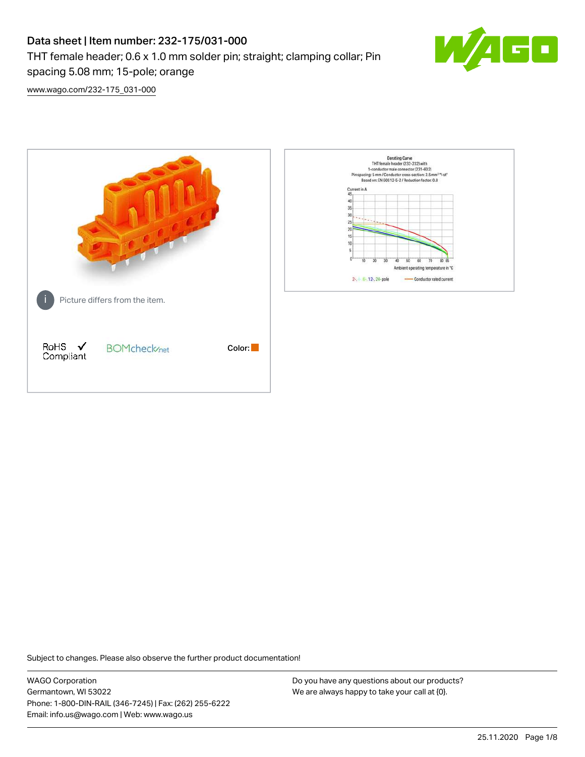# Data sheet | Item number: 232-175/031-000 THT female header; 0.6 x 1.0 mm solder pin; straight; clamping collar; Pin spacing 5.08 mm; 15-pole; orange



[www.wago.com/232-175\\_031-000](http://www.wago.com/232-175_031-000)



Subject to changes. Please also observe the further product documentation!

WAGO Corporation Germantown, WI 53022 Phone: 1-800-DIN-RAIL (346-7245) | Fax: (262) 255-6222 Email: info.us@wago.com | Web: www.wago.us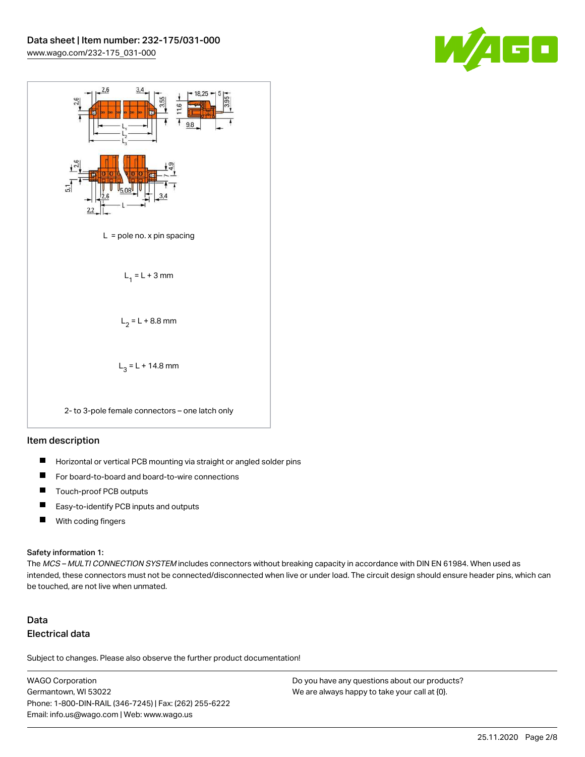



#### Item description

- $\blacksquare$ Horizontal or vertical PCB mounting via straight or angled solder pins
- П For board-to-board and board-to-wire connections
- $\blacksquare$ Touch-proof PCB outputs
- $\blacksquare$ Easy-to-identify PCB inputs and outputs
- $\blacksquare$ With coding fingers

#### Safety information 1:

The MCS - MULTI CONNECTION SYSTEM includes connectors without breaking capacity in accordance with DIN EN 61984. When used as intended, these connectors must not be connected/disconnected when live or under load. The circuit design should ensure header pins, which can be touched, are not live when unmated.

## Data Electrical data

Subject to changes. Please also observe the further product documentation!

WAGO Corporation Germantown, WI 53022 Phone: 1-800-DIN-RAIL (346-7245) | Fax: (262) 255-6222 Email: info.us@wago.com | Web: www.wago.us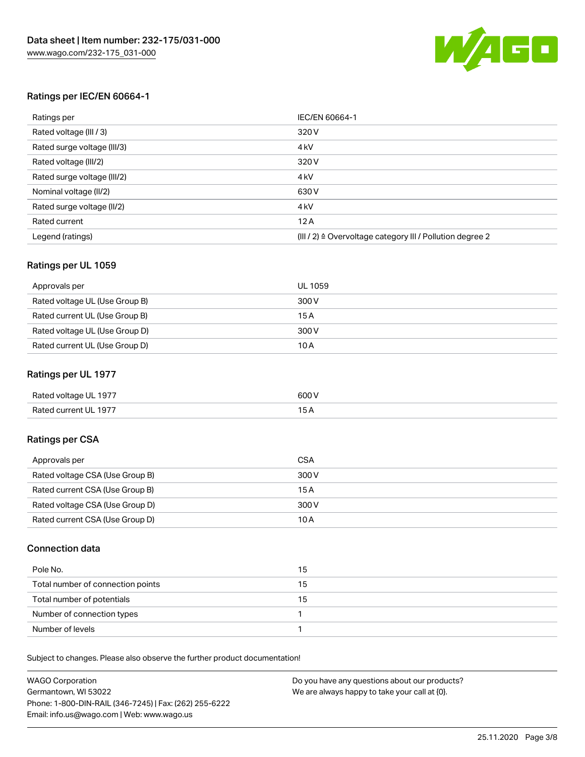

#### Ratings per IEC/EN 60664-1

| Ratings per                 | IEC/EN 60664-1                                                        |
|-----------------------------|-----------------------------------------------------------------------|
| Rated voltage (III / 3)     | 320 V                                                                 |
| Rated surge voltage (III/3) | 4 <sub>k</sub> V                                                      |
| Rated voltage (III/2)       | 320 V                                                                 |
| Rated surge voltage (III/2) | 4 <sub>k</sub> V                                                      |
| Nominal voltage (II/2)      | 630 V                                                                 |
| Rated surge voltage (II/2)  | 4 <sub>k</sub> V                                                      |
| Rated current               | 12A                                                                   |
| Legend (ratings)            | $(III / 2)$ $\triangle$ Overvoltage category III / Pollution degree 2 |

#### Ratings per UL 1059

| Approvals per                  | UL 1059 |
|--------------------------------|---------|
| Rated voltage UL (Use Group B) | 300 V   |
| Rated current UL (Use Group B) | 15 A    |
| Rated voltage UL (Use Group D) | 300 V   |
| Rated current UL (Use Group D) | 10A     |

#### Ratings per UL 1977

| Rated voltage UL 1977 | 600 <sup>V</sup><br>. |
|-----------------------|-----------------------|
| Rated current UL 1977 |                       |

### Ratings per CSA

| Approvals per                   | CSA   |
|---------------------------------|-------|
| Rated voltage CSA (Use Group B) | 300 V |
| Rated current CSA (Use Group B) | 15 A  |
| Rated voltage CSA (Use Group D) | 300 V |
| Rated current CSA (Use Group D) | 10 A  |

#### Connection data

| Pole No.                          | 15 |
|-----------------------------------|----|
| Total number of connection points | 15 |
| Total number of potentials        | 15 |
| Number of connection types        |    |
| Number of levels                  |    |

Subject to changes. Please also observe the further product documentation!

| <b>WAGO Corporation</b>                                | Do you have any questions about our products? |
|--------------------------------------------------------|-----------------------------------------------|
| Germantown, WI 53022                                   | We are always happy to take your call at {0}. |
| Phone: 1-800-DIN-RAIL (346-7245)   Fax: (262) 255-6222 |                                               |
| Email: info.us@wago.com   Web: www.wago.us             |                                               |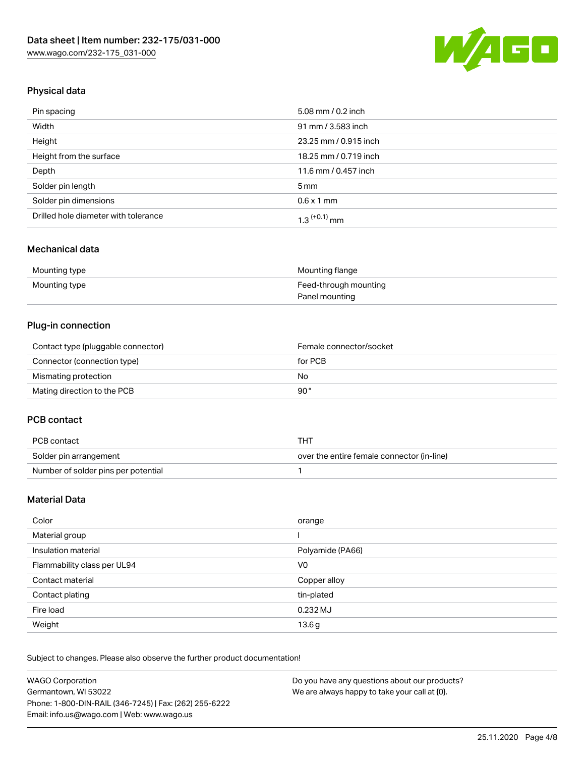

## Physical data

| Pin spacing                          | 5.08 mm / 0.2 inch    |
|--------------------------------------|-----------------------|
| Width                                | 91 mm / 3.583 inch    |
| Height                               | 23.25 mm / 0.915 inch |
| Height from the surface              | 18.25 mm / 0.719 inch |
| Depth                                | 11.6 mm / 0.457 inch  |
| Solder pin length                    | $5 \,\mathrm{mm}$     |
| Solder pin dimensions                | $0.6 \times 1$ mm     |
| Drilled hole diameter with tolerance | $1.3$ $(+0.1)$ mm     |

### Mechanical data

| Mounting type | Mounting flange       |
|---------------|-----------------------|
| Mounting type | Feed-through mounting |
|               | Panel mounting        |

## Plug-in connection

| Contact type (pluggable connector) | Female connector/socket |
|------------------------------------|-------------------------|
| Connector (connection type)        | for PCB                 |
| Mismating protection               | No                      |
| Mating direction to the PCB        | 90°                     |

#### PCB contact

| PCB contact                         | THT                                        |
|-------------------------------------|--------------------------------------------|
| Solder pin arrangement              | over the entire female connector (in-line) |
| Number of solder pins per potential |                                            |

## Material Data

| Color                       | orange           |
|-----------------------------|------------------|
| Material group              |                  |
| Insulation material         | Polyamide (PA66) |
| Flammability class per UL94 | V0               |
| Contact material            | Copper alloy     |
| Contact plating             | tin-plated       |
| Fire load                   | 0.232 MJ         |
| Weight                      | 13.6g            |

Subject to changes. Please also observe the further product documentation!

| <b>WAGO Corporation</b>                                | Do you have any questions about our products? |
|--------------------------------------------------------|-----------------------------------------------|
| Germantown, WI 53022                                   | We are always happy to take your call at {0}. |
| Phone: 1-800-DIN-RAIL (346-7245)   Fax: (262) 255-6222 |                                               |
| Email: info.us@wago.com   Web: www.wago.us             |                                               |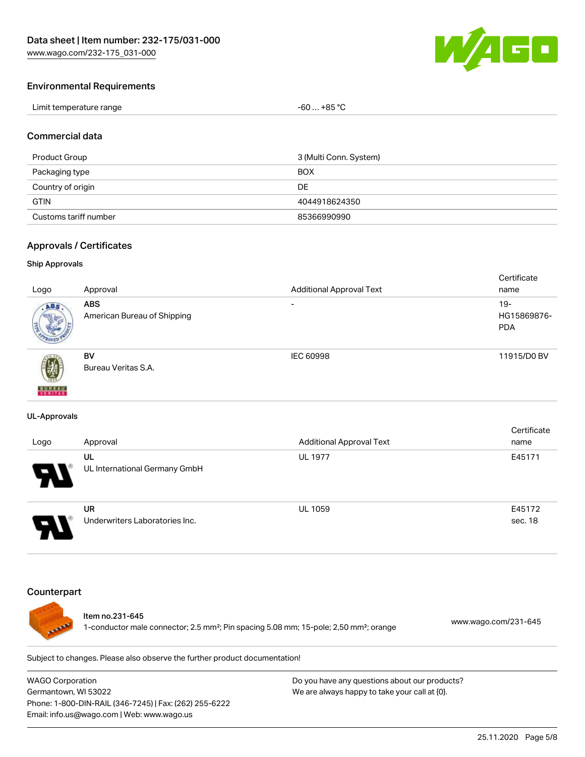

#### Environmental Requirements

| Limit temperature range | $-60+85 °C$ |
|-------------------------|-------------|
|-------------------------|-------------|

#### Commercial data

| Product Group         | 3 (Multi Conn. System) |
|-----------------------|------------------------|
| Packaging type        | <b>BOX</b>             |
| Country of origin     | DE                     |
| <b>GTIN</b>           | 4044918624350          |
| Customs tariff number | 85366990990            |

#### Approvals / Certificates

#### Ship Approvals

|                           |                             |                                 | Certificate |
|---------------------------|-----------------------------|---------------------------------|-------------|
| Logo                      | Approval                    | <b>Additional Approval Text</b> | name        |
| ABS.                      | <b>ABS</b>                  | $\overline{\phantom{a}}$        | $19 -$      |
|                           | American Bureau of Shipping |                                 | HG15869876- |
|                           |                             |                                 | <b>PDA</b>  |
|                           |                             |                                 |             |
|                           | <b>BV</b>                   | IEC 60998                       | 11915/D0 BV |
| 蓼                         | Bureau Veritas S.A.         |                                 |             |
|                           |                             |                                 |             |
| <b>BUREAU</b><br>VERITAST |                             |                                 |             |

#### UL-Approvals

| Logo                  | Approval                             | <b>Additional Approval Text</b> | Certificate<br>name |
|-----------------------|--------------------------------------|---------------------------------|---------------------|
| $\boldsymbol{\theta}$ | UL<br>UL International Germany GmbH  | <b>UL 1977</b>                  | E45171              |
|                       | UR<br>Underwriters Laboratories Inc. | <b>UL 1059</b>                  | E45172<br>sec. 18   |

#### **Counterpart**



#### Item no.231-645

1-conductor male connector; 2.5 mm²; Pin spacing 5.08 mm; 15-pole; 2,50 mm²; orange [www.wago.com/231-645](https://www.wago.com/231-645)

Subject to changes. Please also observe the further product documentation!

WAGO Corporation Germantown, WI 53022 Phone: 1-800-DIN-RAIL (346-7245) | Fax: (262) 255-6222 Email: info.us@wago.com | Web: www.wago.us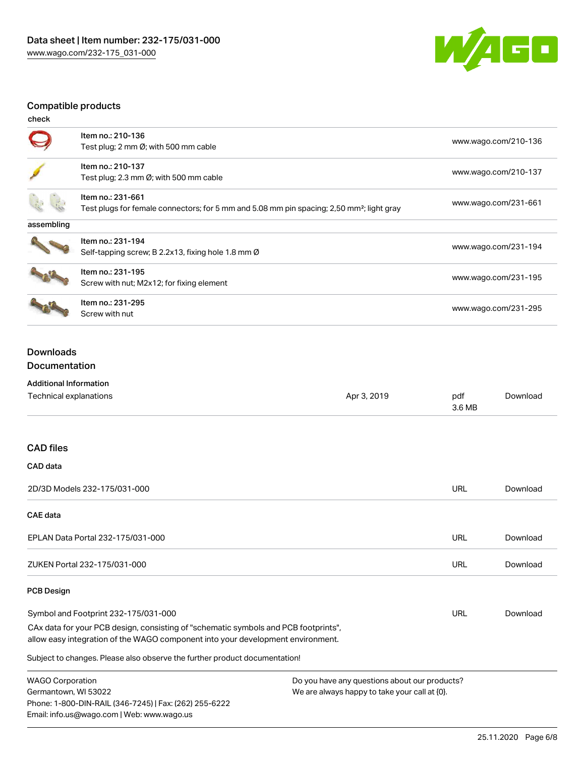

## Compatible products

| check      |                                                                                                                            |                      |
|------------|----------------------------------------------------------------------------------------------------------------------------|----------------------|
|            | Item no.: 210-136<br>Test plug; 2 mm Ø; with 500 mm cable                                                                  | www.wago.com/210-136 |
|            | Item no.: 210-137<br>Test plug; 2.3 mm $\varnothing$ ; with 500 mm cable                                                   | www.wago.com/210-137 |
|            | Item no.: 231-661<br>Test plugs for female connectors; for 5 mm and 5.08 mm pin spacing; 2,50 mm <sup>2</sup> ; light gray | www.wago.com/231-661 |
| assembling |                                                                                                                            |                      |
|            | Item no.: 231-194<br>Self-tapping screw; B 2.2x13, fixing hole 1.8 mm Ø                                                    | www.wago.com/231-194 |
|            | Item no.: 231-195<br>Screw with nut; M2x12; for fixing element                                                             | www.wago.com/231-195 |
|            | Item no.: 231-295<br>Screw with nut                                                                                        | www.wago.com/231-295 |

## Downloads Documentation

## Additional Information

Phone: 1-800-DIN-RAIL (346-7245) | Fax: (262) 255-6222

Email: info.us@wago.com | Web: www.wago.us

| Technical explanations                                                                                                                                                 | Apr 3, 2019                                      | pdf<br>3.6 MB | Download |
|------------------------------------------------------------------------------------------------------------------------------------------------------------------------|--------------------------------------------------|---------------|----------|
| <b>CAD files</b>                                                                                                                                                       |                                                  |               |          |
| CAD data                                                                                                                                                               |                                                  |               |          |
| 2D/3D Models 232-175/031-000                                                                                                                                           |                                                  | <b>URL</b>    | Download |
| <b>CAE</b> data                                                                                                                                                        |                                                  |               |          |
| EPLAN Data Portal 232-175/031-000                                                                                                                                      |                                                  | <b>URL</b>    | Download |
| ZUKEN Portal 232-175/031-000                                                                                                                                           |                                                  | <b>URL</b>    | Download |
| <b>PCB Design</b>                                                                                                                                                      |                                                  |               |          |
| Symbol and Footprint 232-175/031-000                                                                                                                                   |                                                  | URL           | Download |
| CAx data for your PCB design, consisting of "schematic symbols and PCB footprints",<br>allow easy integration of the WAGO component into your development environment. |                                                  |               |          |
| Subject to changes. Please also observe the further product documentation!                                                                                             |                                                  |               |          |
| <b>WAGO Corporation</b>                                                                                                                                                | Do you have any questions about our products?    |               |          |
| Germantown, WI 53022                                                                                                                                                   | We are always happy to take your call at $[0]$ . |               |          |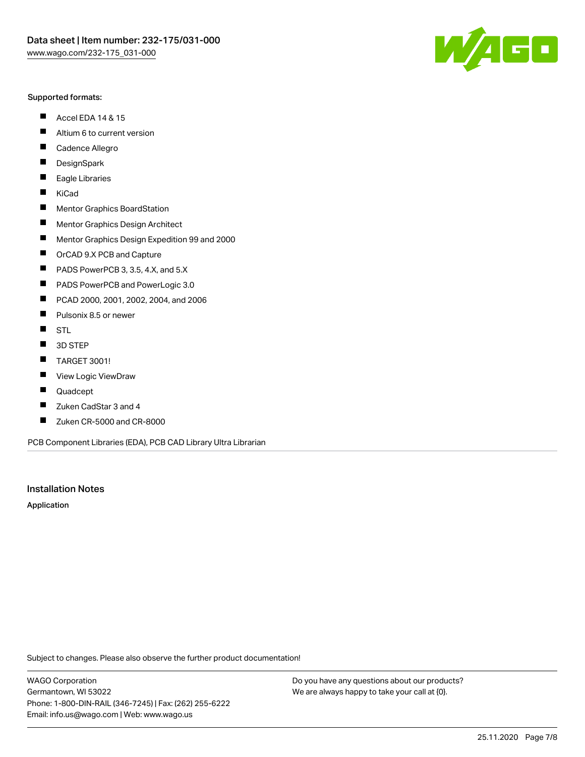#### Supported formats:

- $\blacksquare$ Accel EDA 14 & 15
- $\blacksquare$ Altium 6 to current version
- $\blacksquare$ Cadence Allegro
- $\blacksquare$ **DesignSpark**
- $\blacksquare$ Eagle Libraries
- $\blacksquare$ KiCad
- $\blacksquare$ Mentor Graphics BoardStation
- $\blacksquare$ Mentor Graphics Design Architect
- $\blacksquare$ Mentor Graphics Design Expedition 99 and 2000
- $\blacksquare$ OrCAD 9.X PCB and Capture
- $\blacksquare$ PADS PowerPCB 3, 3.5, 4.X, and 5.X
- $\blacksquare$ PADS PowerPCB and PowerLogic 3.0
- $\blacksquare$ PCAD 2000, 2001, 2002, 2004, and 2006
- $\blacksquare$ Pulsonix 8.5 or newer
- $\blacksquare$ STL
- 3D STEP П
- $\blacksquare$ TARGET 3001!
- $\blacksquare$ View Logic ViewDraw
- $\blacksquare$ Quadcept
- Zuken CadStar 3 and 4  $\blacksquare$
- Zuken CR-5000 and CR-8000 П

PCB Component Libraries (EDA), PCB CAD Library Ultra Librarian

#### Installation Notes

Application

Subject to changes. Please also observe the further product documentation!

WAGO Corporation Germantown, WI 53022 Phone: 1-800-DIN-RAIL (346-7245) | Fax: (262) 255-6222 Email: info.us@wago.com | Web: www.wago.us